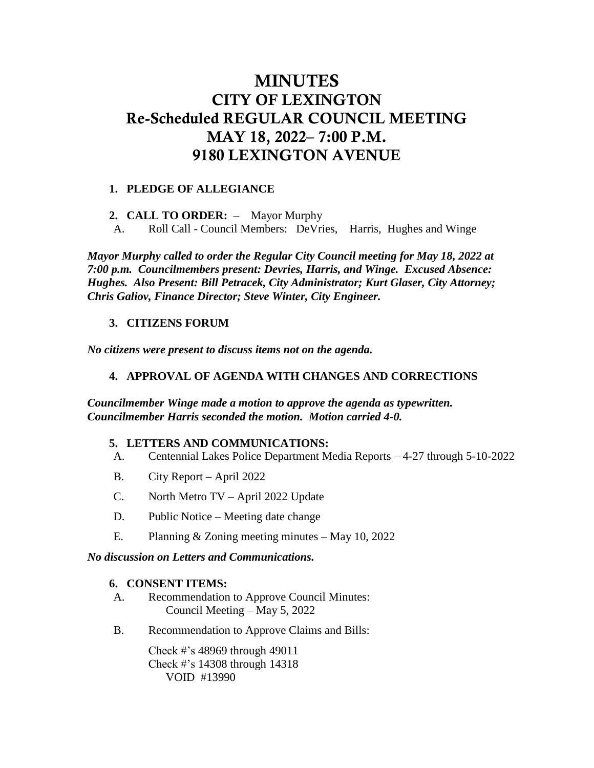# MINUTES CITY OF LEXINGTON Re-Scheduled REGULAR COUNCIL MEETING MAY 18, 2022– 7:00 P.M. 9180 LEXINGTON AVENUE

## **1. PLEDGE OF ALLEGIANCE**

**2. CALL TO ORDER:** – Mayor Murphy

A. Roll Call - Council Members: DeVries, Harris, Hughes and Winge

*Mayor Murphy called to order the Regular City Council meeting for May 18, 2022 at 7:00 p.m. Councilmembers present: Devries, Harris, and Winge. Excused Absence: Hughes. Also Present: Bill Petracek, City Administrator; Kurt Glaser, City Attorney; Chris Galiov, Finance Director; Steve Winter, City Engineer.*

## **3. CITIZENS FORUM**

*No citizens were present to discuss items not on the agenda.* 

## **4. APPROVAL OF AGENDA WITH CHANGES AND CORRECTIONS**

*Councilmember Winge made a motion to approve the agenda as typewritten. Councilmember Harris seconded the motion. Motion carried 4-0.* 

## **5. LETTERS AND COMMUNICATIONS:**

- A. Centennial Lakes Police Department Media Reports 4-27 through 5-10-2022
- B. City Report April 2022
- C. North Metro TV April 2022 Update
- D. Public Notice Meeting date change
- E. Planning & Zoning meeting minutes May 10, 2022

## *No discussion on Letters and Communications.*

#### **6. CONSENT ITEMS:**

- A. Recommendation to Approve Council Minutes: Council Meeting – May 5, 2022
- B. Recommendation to Approve Claims and Bills:

Check #'s 48969 through 49011 Check #'s 14308 through 14318 VOID #13990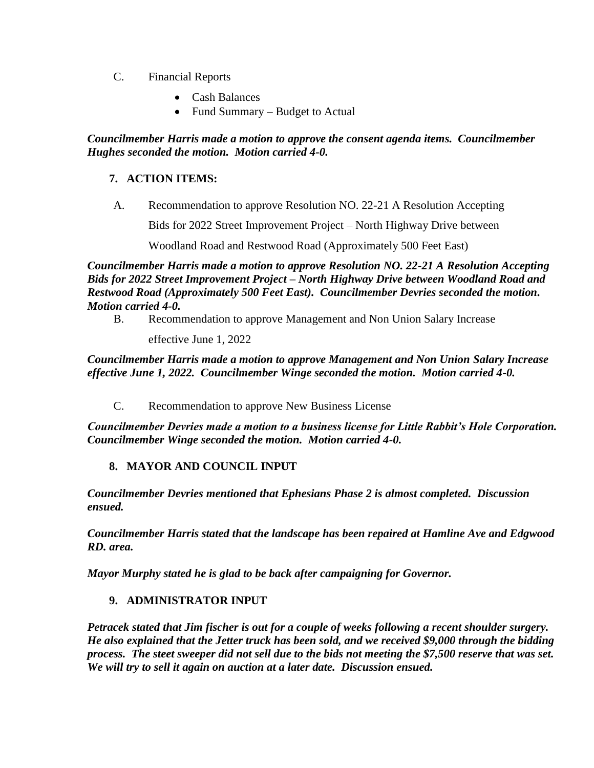- C. Financial Reports
	- Cash Balances
	- Fund Summary Budget to Actual

## *Councilmember Harris made a motion to approve the consent agenda items. Councilmember Hughes seconded the motion. Motion carried 4-0.*

# **7. ACTION ITEMS:**

A. Recommendation to approve Resolution NO. 22-21 A Resolution Accepting

Bids for 2022 Street Improvement Project – North Highway Drive between

Woodland Road and Restwood Road (Approximately 500 Feet East)

*Councilmember Harris made a motion to approve Resolution NO. 22-21 A Resolution Accepting Bids for 2022 Street Improvement Project – North Highway Drive between Woodland Road and Restwood Road (Approximately 500 Feet East). Councilmember Devries seconded the motion. Motion carried 4-0.*

B. Recommendation to approve Management and Non Union Salary Increase

effective June 1, 2022

*Councilmember Harris made a motion to approve Management and Non Union Salary Increase effective June 1, 2022. Councilmember Winge seconded the motion. Motion carried 4-0.* 

C. Recommendation to approve New Business License

*Councilmember Devries made a motion to a business license for Little Rabbit's Hole Corporation. Councilmember Winge seconded the motion. Motion carried 4-0.* 

# **8. MAYOR AND COUNCIL INPUT**

*Councilmember Devries mentioned that Ephesians Phase 2 is almost completed. Discussion ensued.* 

*Councilmember Harris stated that the landscape has been repaired at Hamline Ave and Edgwood RD. area.* 

*Mayor Murphy stated he is glad to be back after campaigning for Governor.*

# **9. ADMINISTRATOR INPUT**

*Petracek stated that Jim fischer is out for a couple of weeks following a recent shoulder surgery. He also explained that the Jetter truck has been sold, and we received \$9,000 through the bidding process. The steet sweeper did not sell due to the bids not meeting the \$7,500 reserve that was set. We will try to sell it again on auction at a later date. Discussion ensued.*